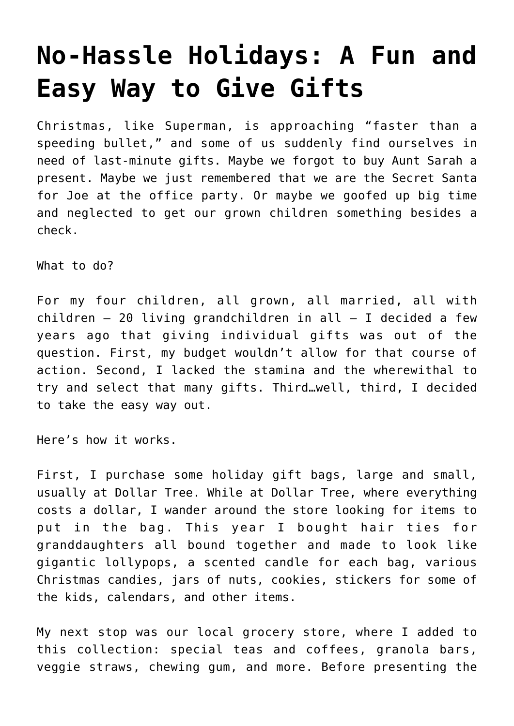## **[No-Hassle Holidays: A Fun and](https://intellectualtakeout.org/2019/12/no-hassle-holidays-a-fun-and-easy-way-to-give-gifts/) [Easy Way to Give Gifts](https://intellectualtakeout.org/2019/12/no-hassle-holidays-a-fun-and-easy-way-to-give-gifts/)**

Christmas, like Superman, is approaching "faster than a speeding bullet," and some of us suddenly find ourselves in need of last-minute gifts. Maybe we forgot to buy Aunt Sarah a present. Maybe we just remembered that we are the Secret Santa for Joe at the office party. Or maybe we goofed up big time and neglected to get our grown children something besides a check.

What to do?

For my four children, all grown, all married, all with children – 20 living grandchildren in all – I decided a few years ago that giving individual gifts was out of the question. First, my budget wouldn't allow for that course of action. Second, I lacked the stamina and the wherewithal to try and select that many gifts. Third…well, third, I decided to take the easy way out.

Here's how it works.

First, I purchase some holiday gift bags, large and small, usually at Dollar Tree. While at Dollar Tree, where everything costs a dollar, I wander around the store looking for items to put in the bag. This year I bought hair ties for granddaughters all bound together and made to look like gigantic lollypops, a scented candle for each bag, various Christmas candies, jars of nuts, cookies, stickers for some of the kids, calendars, and other items.

My next stop was our local grocery store, where I added to this collection: special teas and coffees, granola bars, veggie straws, chewing gum, and more. Before presenting the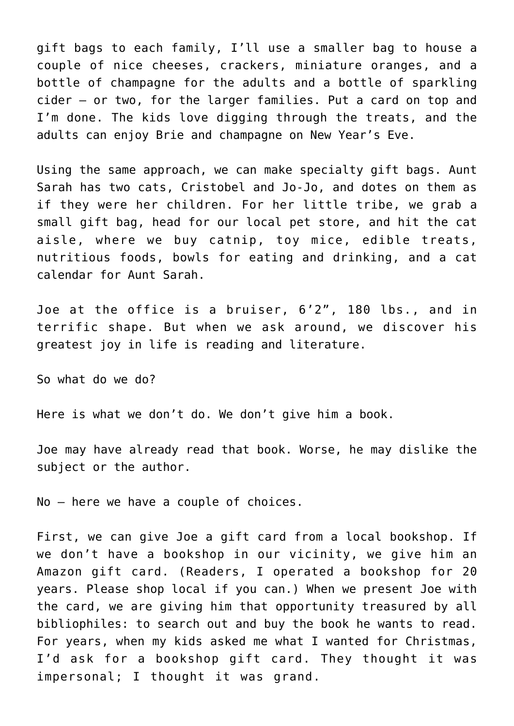gift bags to each family, I'll use a smaller bag to house a couple of nice cheeses, crackers, miniature oranges, and a bottle of champagne for the adults and a bottle of sparkling cider – or two, for the larger families. Put a card on top and I'm done. The kids love digging through the treats, and the adults can enjoy Brie and champagne on New Year's Eve.

Using the same approach, we can make specialty gift bags. Aunt Sarah has two cats, Cristobel and Jo-Jo, and dotes on them as if they were her children. For her little tribe, we grab a small gift bag, head for our local pet store, and hit the cat aisle, where we buy catnip, toy mice, edible treats, nutritious foods, bowls for eating and drinking, and a cat calendar for Aunt Sarah.

Joe at the office is a bruiser, 6'2", 180 lbs., and in terrific shape. But when we ask around, we discover his greatest joy in life is reading and literature.

So what do we do?

Here is what we don't do. We don't give him a book.

Joe may have already read that book. Worse, he may dislike the subject or the author.

No – here we have a couple of choices.

First, we can give Joe a gift card from a local bookshop. If we don't have a bookshop in our vicinity, we give him an Amazon gift card. (Readers, I operated a bookshop for 20 years. Please shop local if you can.) When we present Joe with the card, we are giving him that opportunity treasured by all bibliophiles: to search out and buy the book he wants to read. For years, when my kids asked me what I wanted for Christmas, I'd ask for a bookshop gift card. They thought it was impersonal; I thought it was grand.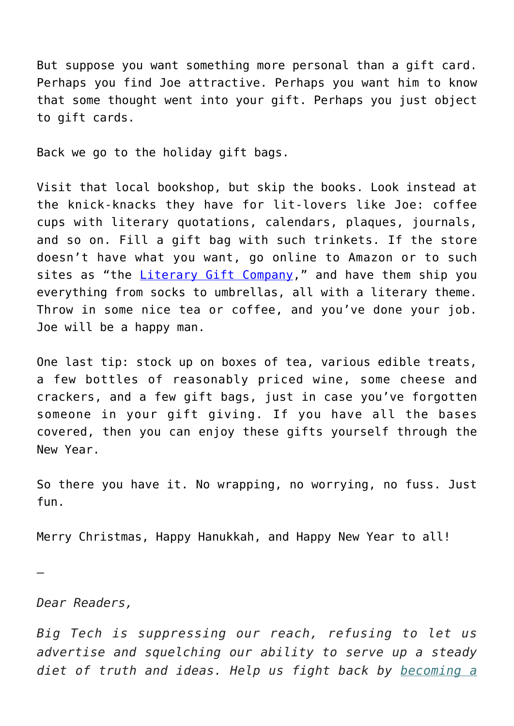But suppose you want something more personal than a gift card. Perhaps you find Joe attractive. Perhaps you want him to know that some thought went into your gift. Perhaps you just object to gift cards.

Back we go to the holiday gift bags.

Visit that local bookshop, but skip the books. Look instead at the knick-knacks they have for lit-lovers like Joe: coffee cups with literary quotations, calendars, plaques, journals, and so on. Fill a gift bag with such trinkets. If the store doesn't have what you want, go online to Amazon or to such sites as "the [Literary Gift Company,](https://us.theliterarygiftcompany.com)" and have them ship you everything from socks to umbrellas, all with a literary theme. Throw in some nice tea or coffee, and you've done your job. Joe will be a happy man.

One last tip: stock up on boxes of tea, various edible treats, a few bottles of reasonably priced wine, some cheese and crackers, and a few gift bags, just in case you've forgotten someone in your gift giving. If you have all the bases covered, then you can enjoy these gifts yourself through the New Year.

So there you have it. No wrapping, no worrying, no fuss. Just fun.

Merry Christmas, Happy Hanukkah, and Happy New Year to all!

*Dear Readers,*

—

*Big Tech is suppressing our reach, refusing to let us advertise and squelching our ability to serve up a steady diet of truth and ideas. Help us fight back by [becoming a](https://www.chroniclesmagazine.org/subscribe/)*